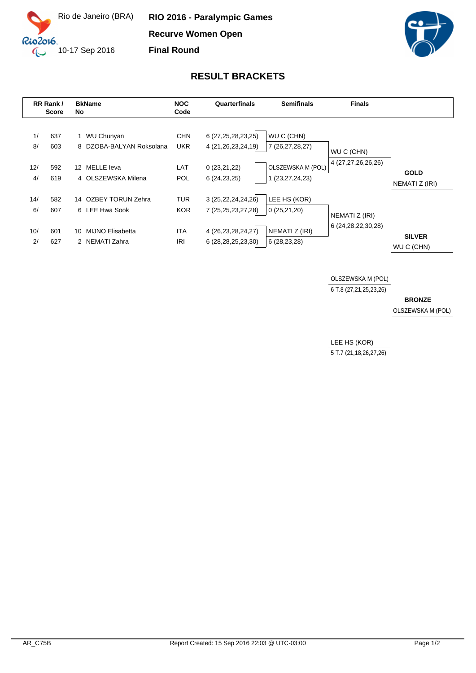

**RIO 2016 - Paralympic Games Recurve Women Open**

**Final Round**



## **RESULT BRACKETS**